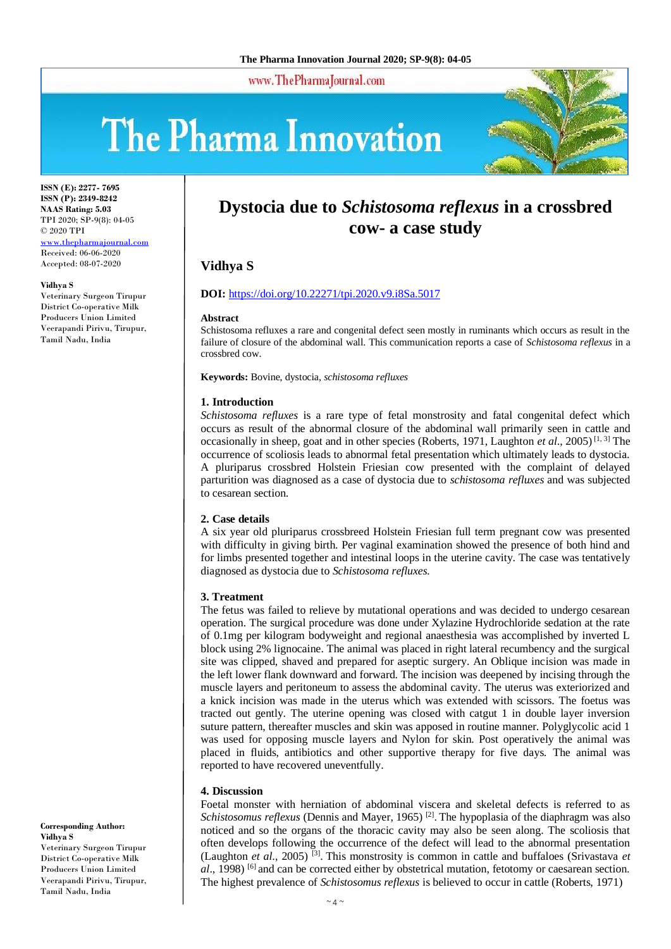www.ThePharmaJournal.com

# The Pharma Innovation



**ISSN (E): 2277- 7695 ISSN (P): 2349-8242 NAAS Rating: 5.03** TPI 2020; SP-9(8): 04-05 © 2020 TPI [www.thepharmajournal.com](http://www.thepharmajournal.com/) Received: 06-06-2020 Accepted: 08-07-2020

**Vidhya S**

Veterinary Surgeon Tirupur District Co-operative Milk Producers Union Limited Veerapandi Pirivu, Tirupur, Tamil Nadu, India

# **Dystocia due to** *Schistosoma reflexus* **in a crossbred cow- a case study**

# **Vidhya S**

#### **DOI:** <https://doi.org/10.22271/tpi.2020.v9.i8Sa.5017>

#### **Abstract**

Schistosoma refluxes a rare and congenital defect seen mostly in ruminants which occurs as result in the failure of closure of the abdominal wall. This communication reports a case of *Schistosoma reflexus* in a crossbred cow.

**Keywords:** Bovine, dystocia, *schistosoma refluxes*

#### **1. Introduction**

*Schistosoma refluxes* is a rare type of fetal monstrosity and fatal congenital defect which occurs as result of the abnormal closure of the abdominal wall primarily seen in cattle and occasionally in sheep, goat and in other species (Roberts, 1971, Laughton *et al*., 2005) [1, 3] The occurrence of scoliosis leads to abnormal fetal presentation which ultimately leads to dystocia. A pluriparus crossbred Holstein Friesian cow presented with the complaint of delayed parturition was diagnosed as a case of dystocia due to *schistosoma refluxes* and was subjected to cesarean section.

#### **2. Case details**

A six year old pluriparus crossbreed Holstein Friesian full term pregnant cow was presented with difficulty in giving birth. Per vaginal examination showed the presence of both hind and for limbs presented together and intestinal loops in the uterine cavity. The case was tentatively diagnosed as dystocia due to *Schistosoma refluxes.* 

#### **3. Treatment**

The fetus was failed to relieve by mutational operations and was decided to undergo cesarean operation. The surgical procedure was done under Xylazine Hydrochloride sedation at the rate of 0.1mg per kilogram bodyweight and regional anaesthesia was accomplished by inverted L block using 2% lignocaine. The animal was placed in right lateral recumbency and the surgical site was clipped, shaved and prepared for aseptic surgery. An Oblique incision was made in the left lower flank downward and forward. The incision was deepened by incising through the muscle layers and peritoneum to assess the abdominal cavity. The uterus was exteriorized and a knick incision was made in the uterus which was extended with scissors. The foetus was tracted out gently. The uterine opening was closed with catgut 1 in double layer inversion suture pattern, thereafter muscles and skin was apposed in routine manner. Polyglycolic acid 1 was used for opposing muscle layers and Nylon for skin. Post operatively the animal was placed in fluids, antibiotics and other supportive therapy for five days. The animal was reported to have recovered uneventfully.

#### **4. Discussion**

Foetal monster with herniation of abdominal viscera and skeletal defects is referred to as Schistosomus reflexus (Dennis and Mayer, 1965)<sup>[2]</sup>. The hypoplasia of the diaphragm was also noticed and so the organs of the thoracic cavity may also be seen along. The scoliosis that often develops following the occurrence of the defect will lead to the abnormal presentation (Laughton *et al*., 2005) [3] . This monstrosity is common in cattle and buffaloes (Srivastava *et*  al., 1998) <sup>[6]</sup> and can be corrected either by obstetrical mutation, fetotomy or caesarean section. The highest prevalence of *Schistosomus reflexus* is believed to occur in cattle (Roberts, 1971)

#### **Corresponding Author: Vidhya S**

Veterinary Surgeon Tirupur District Co-operative Milk Producers Union Limited Veerapandi Pirivu, Tirupur, Tamil Nadu, India